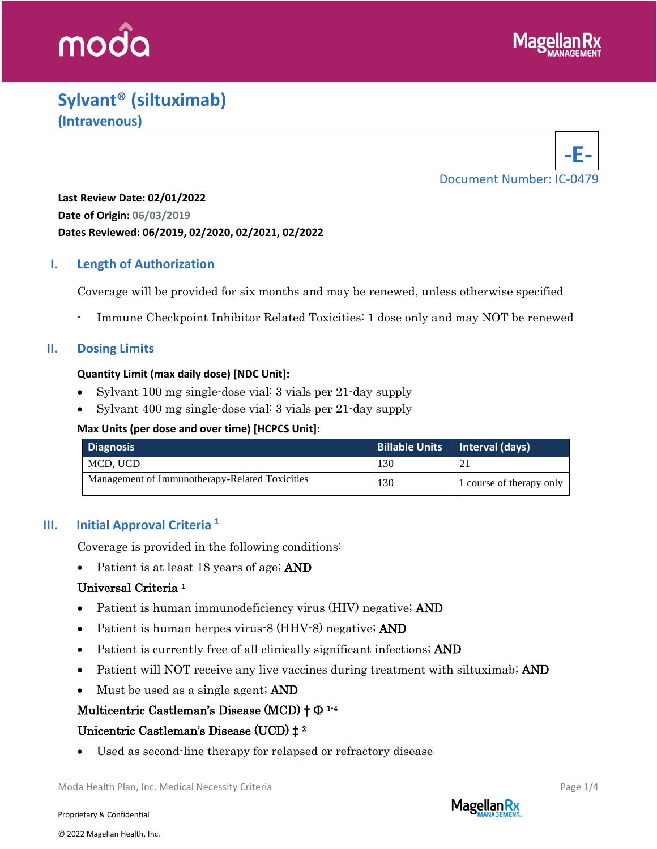

# **Sylvant® (siltuximab) (Intravenous)**



**Last Review Date: 02/01/2022 Date of Origin: 06/03/2019 Dates Reviewed: 06/2019, 02/2020, 02/2021, 02/2022**

## **I. Length of Authorization**

Coverage will be provided for six months and may be renewed, unless otherwise specified

Immune Checkpoint Inhibitor Related Toxicities: 1 dose only and may NOT be renewed

#### **II. Dosing Limits**

#### **Quantity Limit (max daily dose) [NDC Unit]:**

- Sylvant 100 mg single-dose vial: 3 vials per 21-day supply
- Sylvant 400 mg single-dose vial: 3 vials per 21-day supply

#### **Max Units (per dose and over time) [HCPCS Unit]:**

| <b>Diagnosis</b>                               |     | Billable Units   Interval (days) |
|------------------------------------------------|-----|----------------------------------|
| MCD, UCD                                       | 130 | 21                               |
| Management of Immunotherapy-Related Toxicities | 130 | 1 course of therapy only         |

## **III. Initial Approval Criteria <sup>1</sup>**

Coverage is provided in the following conditions:

• Patient is at least 18 years of age; **AND** 

## Universal Criteria 1

- Patient is human immunodeficiency virus (HIV) negative; **AND**
- Patient is human herpes virus-8 (HHV-8) negative; **AND**
- Patient is currently free of all clinically significant infections; AND
- Patient will NOT receive any live vaccines during treatment with siltuximab; AND
- Must be used as a single agent; **AND**

## $\operatorname{Multicentric}$   $\operatorname{Castleman's}$   $\operatorname{Disease}$   $(\operatorname{MCD})$   $\dagger$   $\Phi$   $^{1\text{-}4}$

## Unicentric Castleman's Disease (UCD) ‡ 2

Used as second-line therapy for relapsed or refractory disease

Moda Health Plan, Inc. Medical Necessity Criteria **Page 1/4** and the entry of the Page 1/4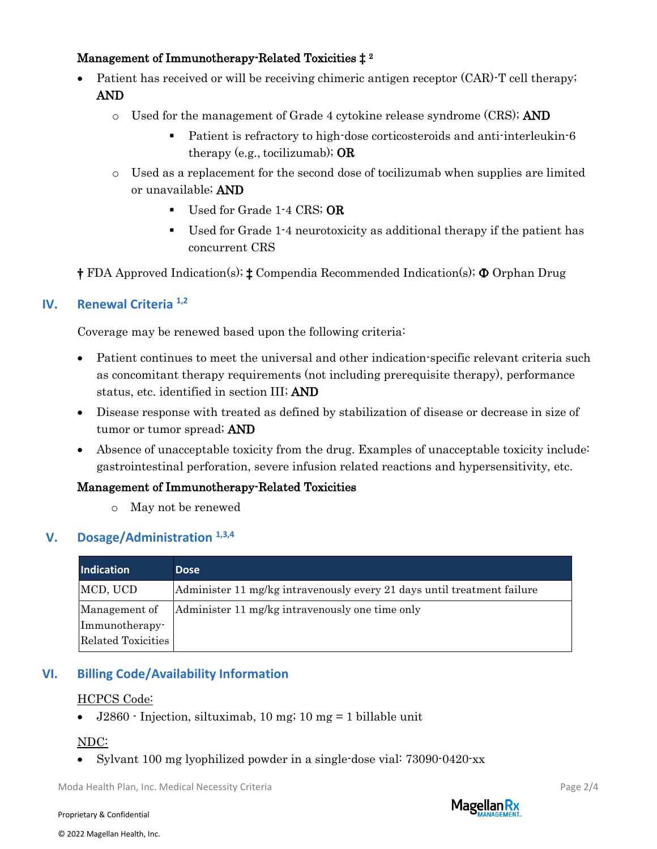## Management of Immunotherapy-Related Toxicities ‡ <sup>2</sup>

- Patient has received or will be receiving chimeric antigen receptor (CAR)-T cell therapy; AND
	- $\circ$  Used for the management of Grade 4 cytokine release syndrome (CRS); AND
		- Patient is refractory to high-dose corticosteroids and anti-interleukin-6 therapy (e.g., tocilizumab);  $OR$
	- o Used as a replacement for the second dose of tocilizumab when supplies are limited or unavailable; AND
		- **•** Used for Grade 1-4 CRS; OR
		- Used for Grade 1-4 neurotoxicity as additional therapy if the patient has concurrent CRS
- † FDA Approved Indication(s); ‡ Compendia Recommended Indication(s); Ф Orphan Drug

## **IV. Renewal Criteria 1,2**

Coverage may be renewed based upon the following criteria:

- Patient continues to meet the universal and other indication-specific relevant criteria such as concomitant therapy requirements (not including prerequisite therapy), performance status, etc. identified in section III; AND
- Disease response with treated as defined by stabilization of disease or decrease in size of tumor or tumor spread; AND
- Absence of unacceptable toxicity from the drug. Examples of unacceptable toxicity include: gastrointestinal perforation, severe infusion related reactions and hypersensitivity, etc.

#### Management of Immunotherapy-Related Toxicities

o May not be renewed

#### **V. Dosage/Administration 1,3,4**

| Indication         | <b>Dose</b>                                                             |
|--------------------|-------------------------------------------------------------------------|
| MCD, UCD           | Administer 11 mg/kg intravenously every 21 days until treatment failure |
| Management of      | Administer 11 mg/kg intravenously one time only                         |
| Immunotherapy-     |                                                                         |
| Related Toxicities |                                                                         |

## **VI. Billing Code/Availability Information**

#### HCPCS Code:

• J2860 - Injection, siltuximab, 10 mg; 10 mg = 1 billable unit

## NDC:

• Sylvant 100 mg lyophilized powder in a single-dose vial: 73090-0420-xx

Moda Health Plan, Inc. Medical Necessity Criteria **Page 2/4** and 2008 and 2008 and 2008 and 2008 and 2008 and 2008 and 2008 and 2008 and 2008 and 2008 and 2008 and 2008 and 2008 and 2008 and 2008 and 2008 and 2008 and 2008

Proprietary & Confidential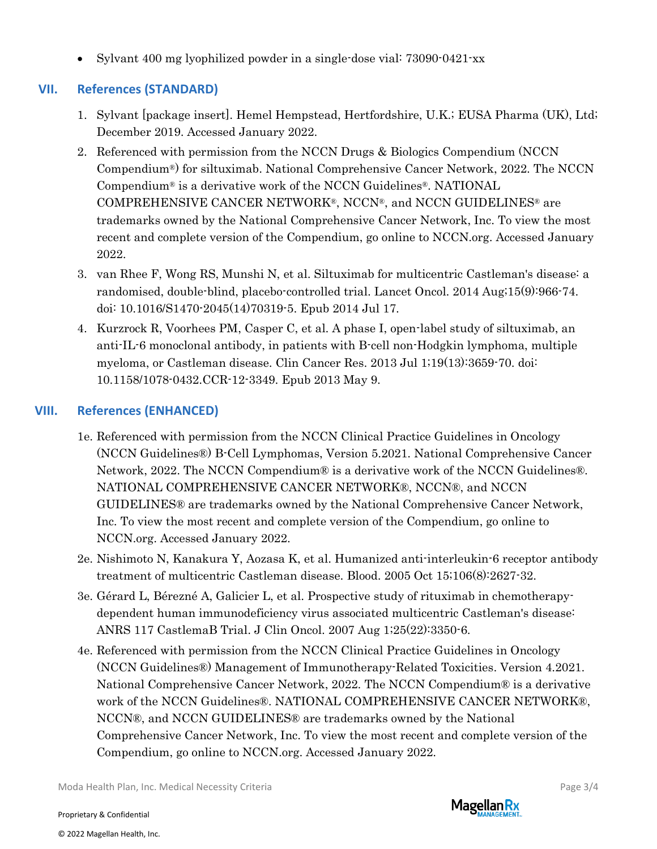• Sylvant 400 mg lyophilized powder in a single-dose vial: 73090-0421-xx

## **VII. References (STANDARD)**

- 1. Sylvant [package insert]. Hemel Hempstead, Hertfordshire, U.K.; EUSA Pharma (UK), Ltd; December 2019. Accessed January 2022.
- 2. Referenced with permission from the NCCN Drugs & Biologics Compendium (NCCN Compendium®) for siltuximab. National Comprehensive Cancer Network, 2022. The NCCN Compendium® is a derivative work of the NCCN Guidelines®. NATIONAL COMPREHENSIVE CANCER NETWORK®, NCCN®, and NCCN GUIDELINES® are trademarks owned by the National Comprehensive Cancer Network, Inc. To view the most recent and complete version of the Compendium, go online to NCCN.org. Accessed January 2022.
- 3. [van Rhee F,](https://www.ncbi.nlm.nih.gov/pubmed/?term=van%20Rhee%20F%5BAuthor%5D&cauthor=true&cauthor_uid=25042199) [Wong RS,](https://www.ncbi.nlm.nih.gov/pubmed/?term=Wong%20RS%5BAuthor%5D&cauthor=true&cauthor_uid=25042199) [Munshi N,](https://www.ncbi.nlm.nih.gov/pubmed/?term=Munshi%20N%5BAuthor%5D&cauthor=true&cauthor_uid=25042199) et al. Siltuximab for multicentric Castleman's disease: a randomised, double-blind, placebo-controlled trial. [Lancet Oncol.](https://www.ncbi.nlm.nih.gov/pubmed/25042199?dopt=Abstract) 2014 Aug;15(9):966-74. doi: 10.1016/S1470-2045(14)70319-5. Epub 2014 Jul 17.
- 4. [Kurzrock R,](https://www.ncbi.nlm.nih.gov/pubmed/?term=Kurzrock%20R%5BAuthor%5D&cauthor=true&cauthor_uid=23659971) [Voorhees PM,](https://www.ncbi.nlm.nih.gov/pubmed/?term=Voorhees%20PM%5BAuthor%5D&cauthor=true&cauthor_uid=23659971) [Casper C,](https://www.ncbi.nlm.nih.gov/pubmed/?term=Casper%20C%5BAuthor%5D&cauthor=true&cauthor_uid=23659971) et al. A phase I, open-label study of siltuximab, an anti-IL-6 monoclonal antibody, in patients with B-cell non-Hodgkin lymphoma, multiple myeloma, or Castleman disease. [Clin Cancer Res.](https://www.ncbi.nlm.nih.gov/pubmed/23659971) 2013 Jul 1;19(13):3659-70. doi: 10.1158/1078-0432.CCR-12-3349. Epub 2013 May 9.

## **VIII. References (ENHANCED)**

- 1e. Referenced with permission from the NCCN Clinical Practice Guidelines in Oncology (NCCN Guidelines®) B-Cell Lymphomas, Version 5.2021. National Comprehensive Cancer Network, 2022. The NCCN Compendium® is a derivative work of the NCCN Guidelines®. NATIONAL COMPREHENSIVE CANCER NETWORK®, NCCN®, and NCCN GUIDELINES® are trademarks owned by the National Comprehensive Cancer Network, Inc. To view the most recent and complete version of the Compendium, go online to NCCN.org. Accessed January 2022.
- 2e. Nishimoto N, Kanakura Y, Aozasa K, et al. Humanized anti-interleukin-6 receptor antibody treatment of multicentric Castleman disease. Blood. 2005 Oct 15;106(8):2627-32.
- 3e. Gérard L, Bérezné A, Galicier L, et al. Prospective study of rituximab in chemotherapydependent human immunodeficiency virus associated multicentric Castleman's disease: ANRS 117 CastlemaB Trial. J Clin Oncol. 2007 Aug 1;25(22):3350-6.
- 4e. Referenced with permission from the NCCN Clinical Practice Guidelines in Oncology (NCCN Guidelines®) Management of Immunotherapy-Related Toxicities. Version 4.2021. National Comprehensive Cancer Network, 2022. The NCCN Compendium® is a derivative work of the NCCN Guidelines®. NATIONAL COMPREHENSIVE CANCER NETWORK®, NCCN®, and NCCN GUIDELINES® are trademarks owned by the National Comprehensive Cancer Network, Inc. To view the most recent and complete version of the Compendium, go online to NCCN.org. Accessed January 2022.

Moda Health Plan, Inc. Medical Necessity Criteria **Page 3/4** Page 3/4